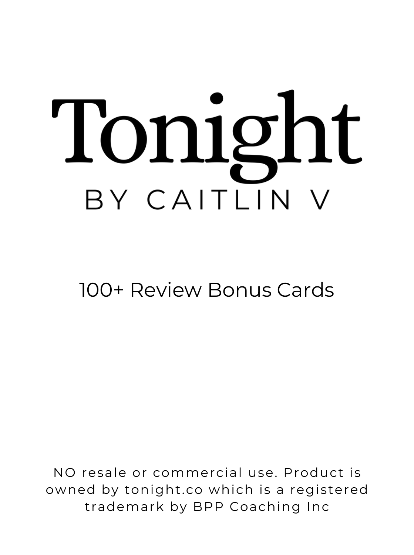# Tonight BY CAITLIN

#### 100+ Review Bonus Cards

NO resale or commercial use. Product is owned by tonight .co which is a registered trademark by BPP Coaching Inc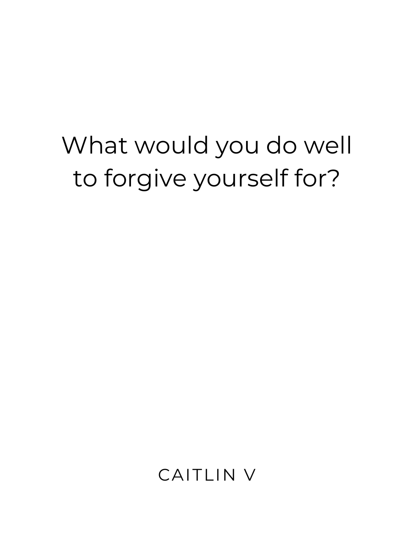#### What would you do well to forgive yourself for?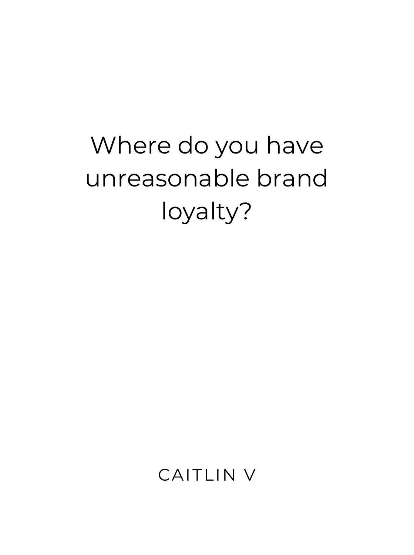# Where do you have unreasonable brand loyalty?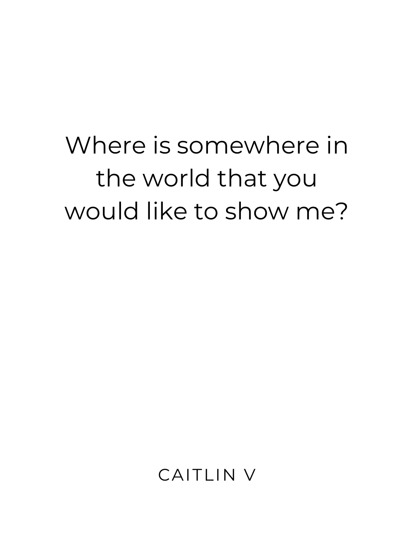# Where is somewhere in the world that you would like to show me?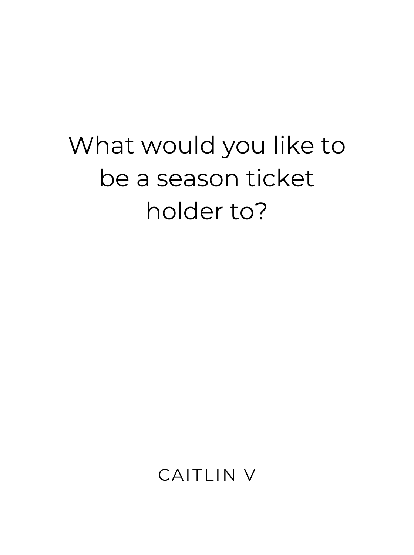# What would you like to be a season ticket holder to?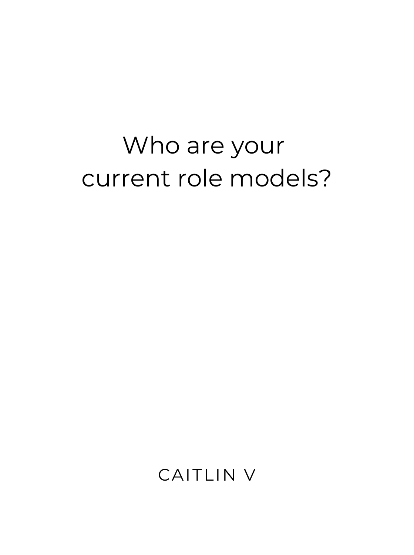# Who are your current role models?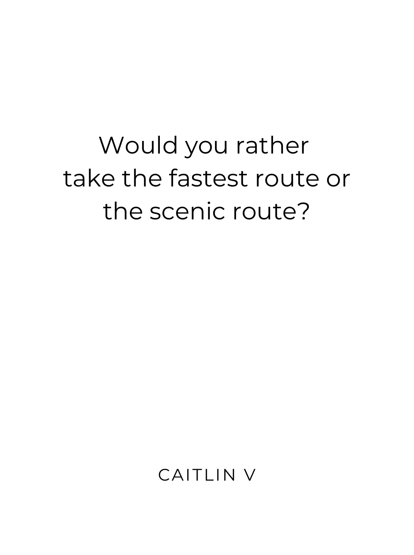# Would you rather take the fastest route or the scenic route?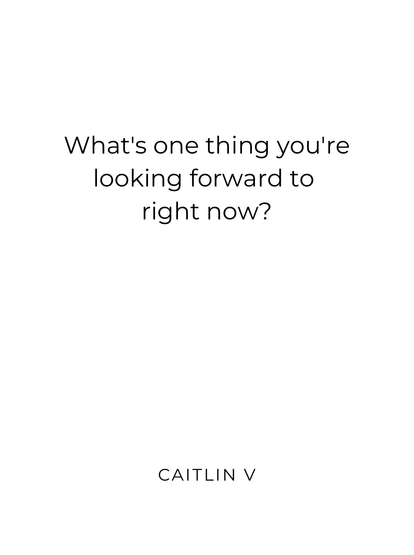# What's one thing you're looking forward to right now?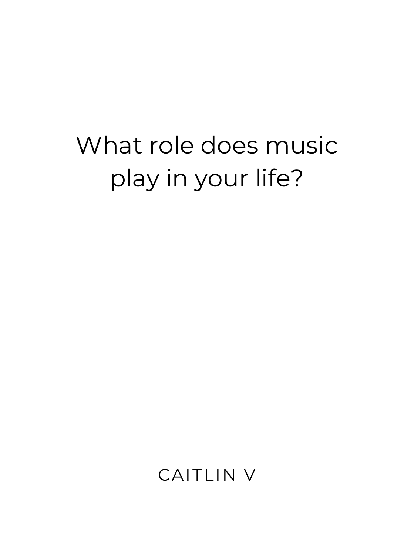# What role does music play in your life?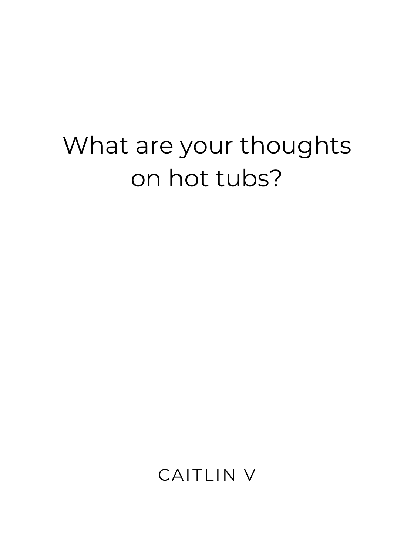#### What are your thoughts on hot tubs?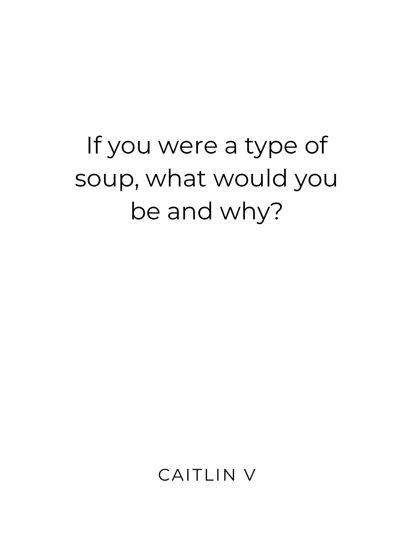# If you were a type of soup, what would you be and why?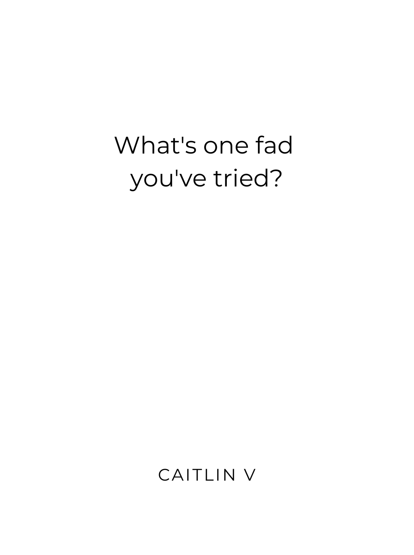### What's one fad you've tried?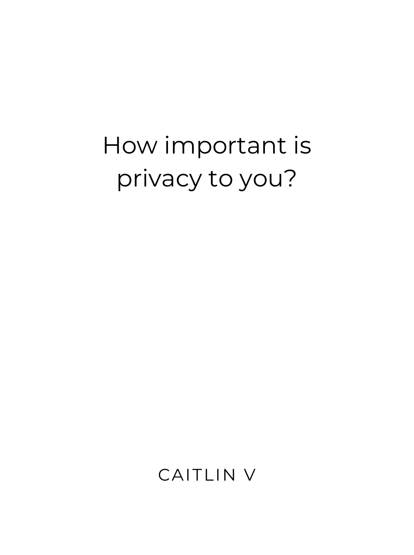# How important is privacy to you?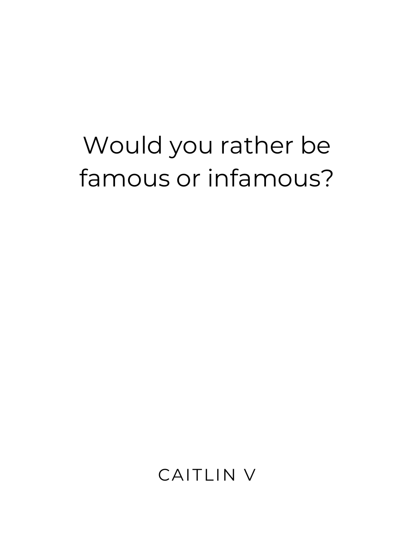#### Would you rather be famous or infamous?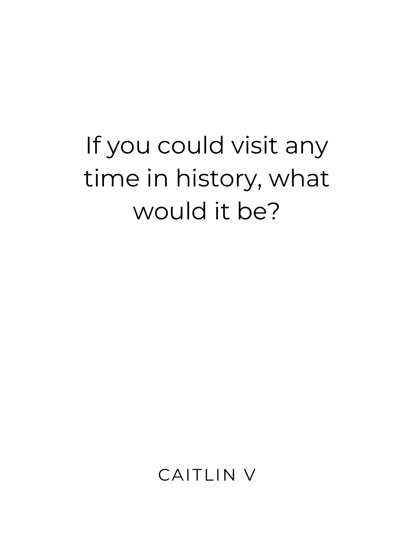# If you could visit any time in history, what would it be?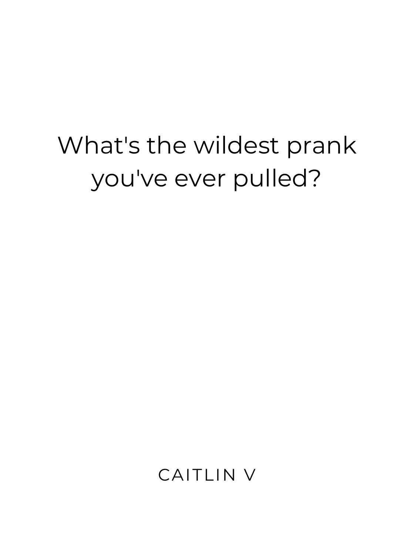#### What's the wildest prank you've ever pulled?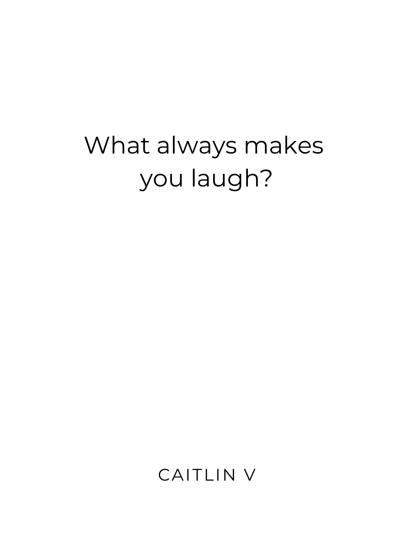#### What always makes you laugh?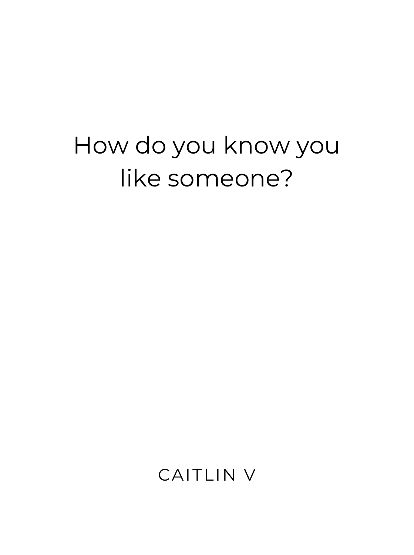#### How do you know you like someone?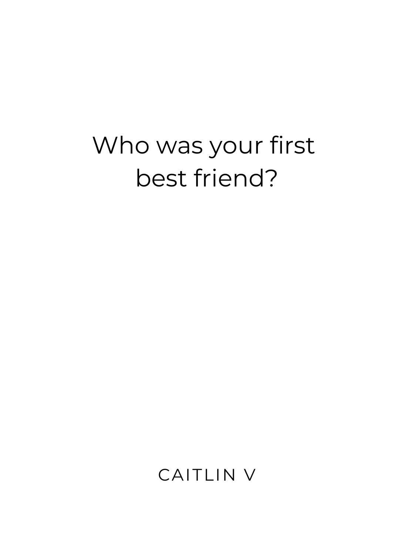#### Who was your first best friend?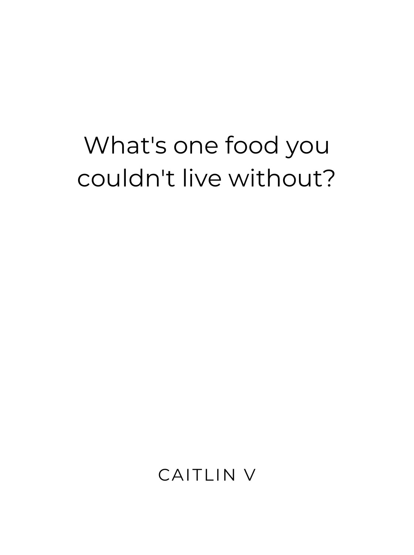#### What's one food you couldn't live without?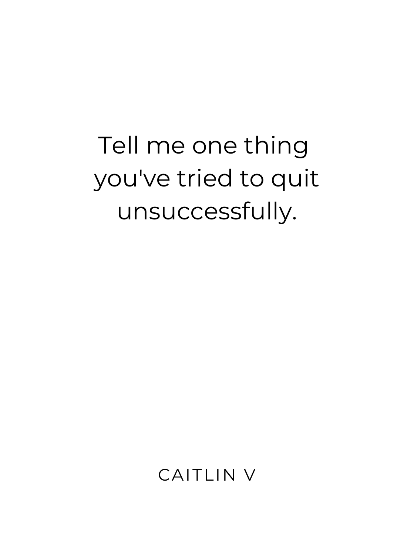# Tell me one thing you've tried to quit unsuccessfully.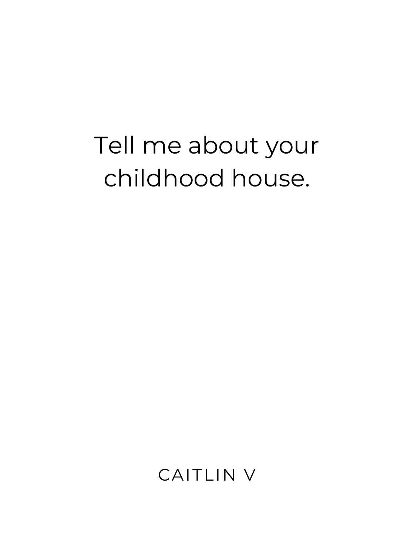#### Tell me about your childhood house.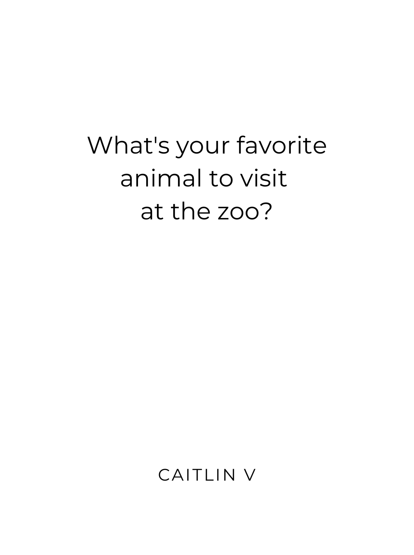# What's your favorite animal to visit at the zoo?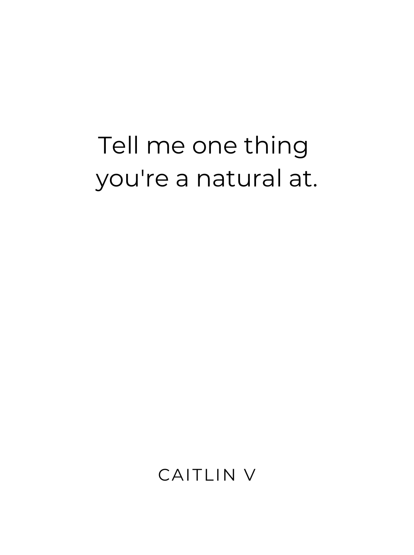#### Tell me one thing you're a natural at.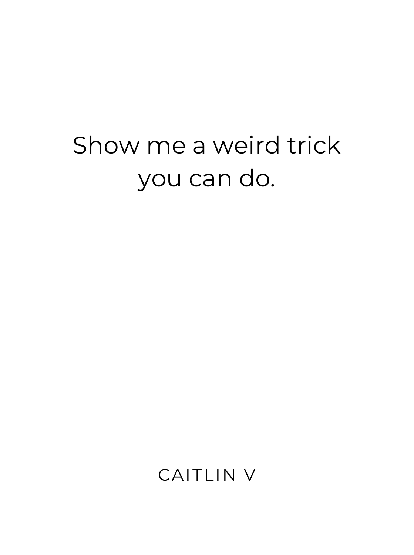# Show me a weird trick you can do.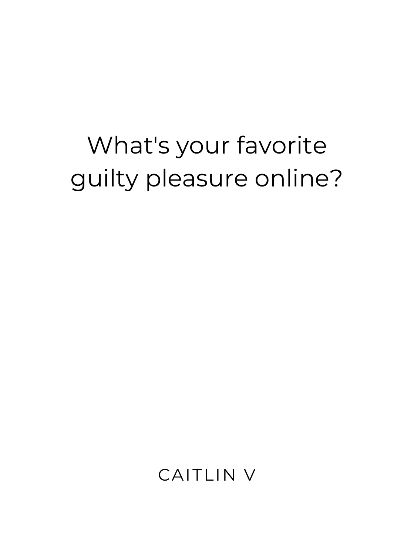# What's your favorite guilty pleasure online?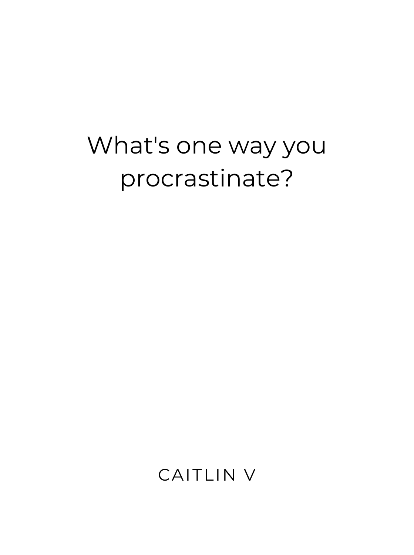#### What's one way you procrastinate?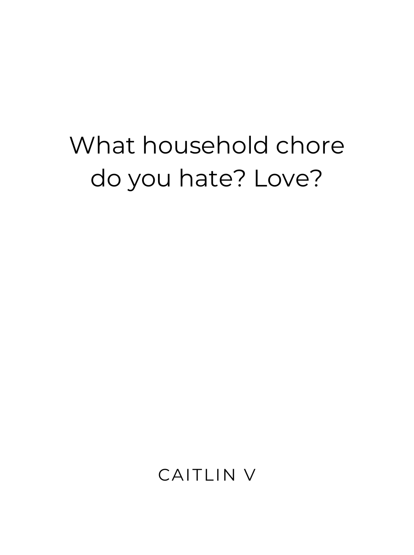# What household chore do you hate? Love?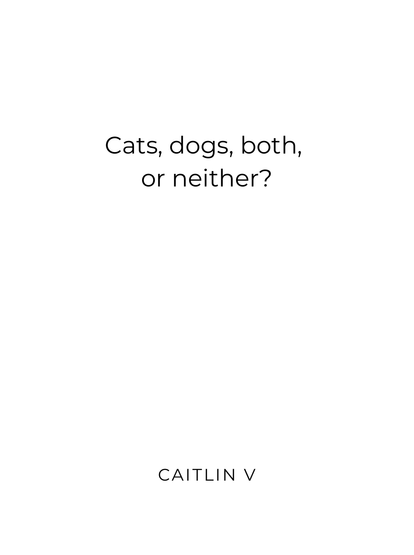#### Cats, dogs, both, or neither?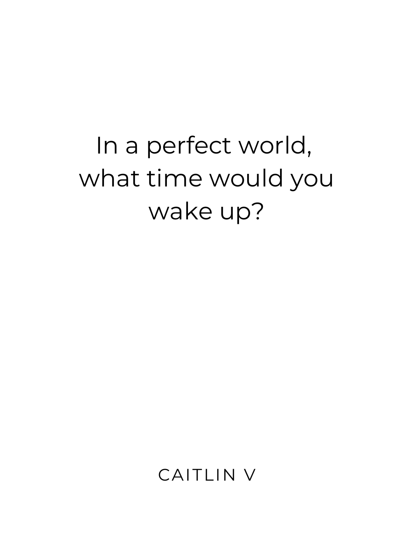# In a perfect world, what time would you wake up?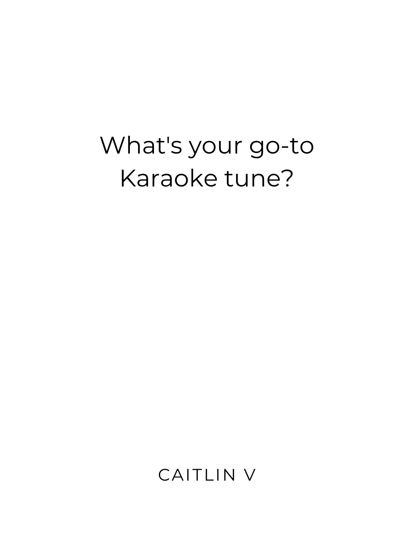#### What's your go-to Karaoke tune?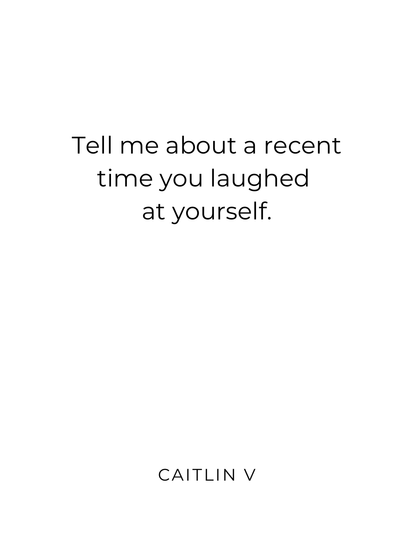# Tell me about a recent time you laughed at yourself.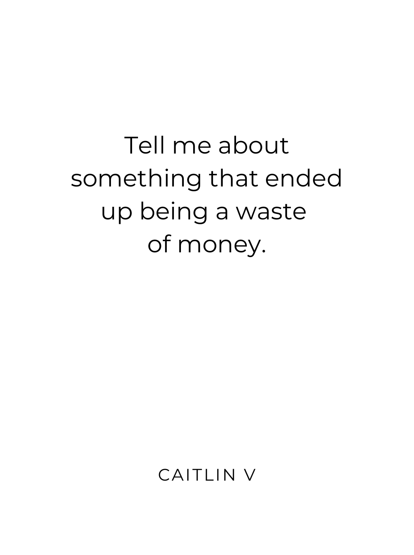# Tell me about something that ended up being a waste of money.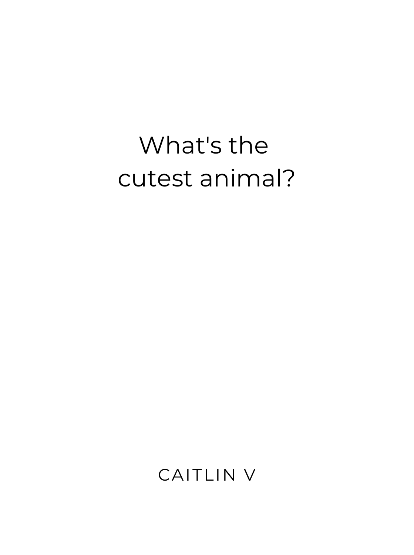#### What's the cutest animal?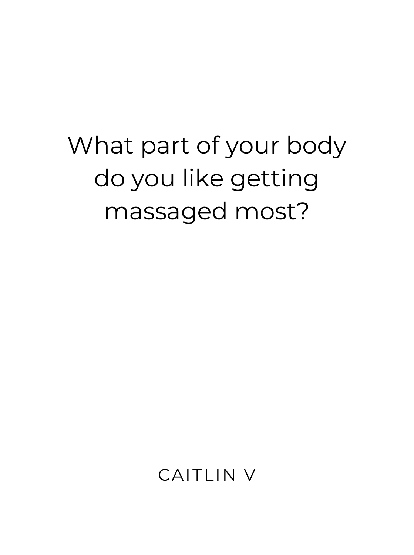# What part of your body do you like getting massaged most?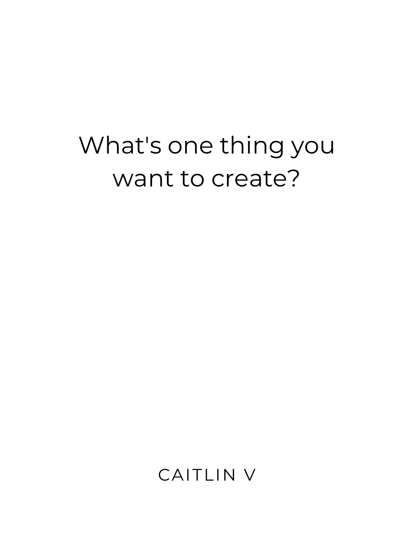#### What's one thing you want to create?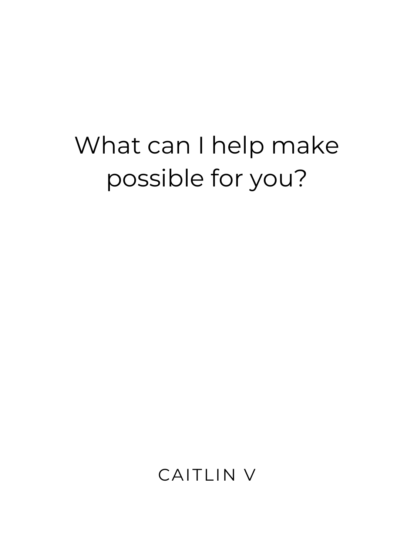## What can I help make possible for you?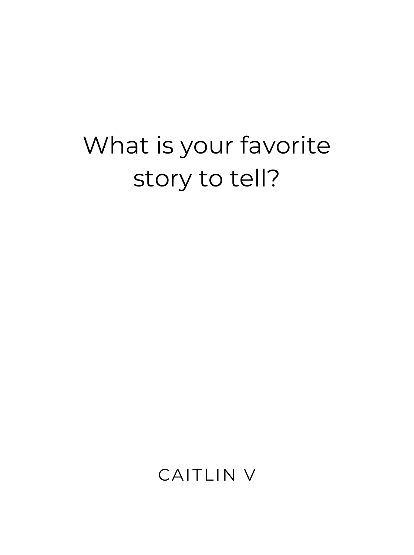## What is your favorite story to tell?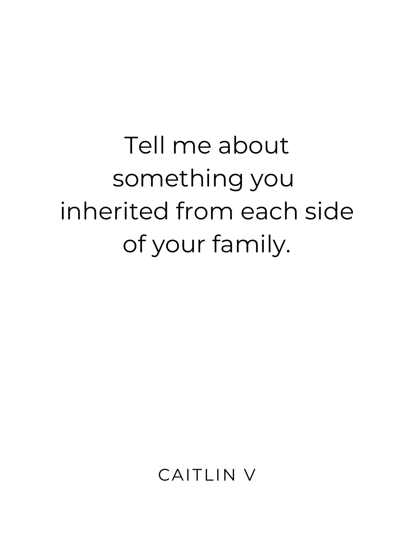# Tell me about something you inherited from each side of your family.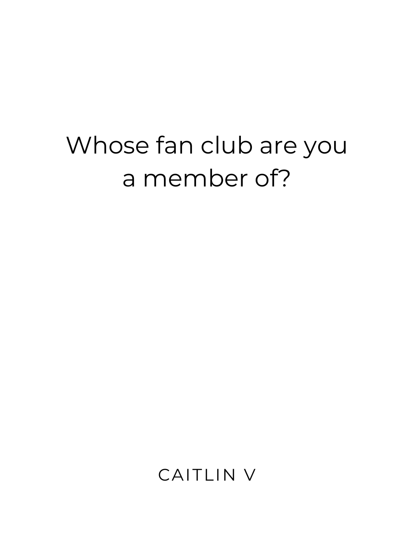## Whose fan club are you a member of?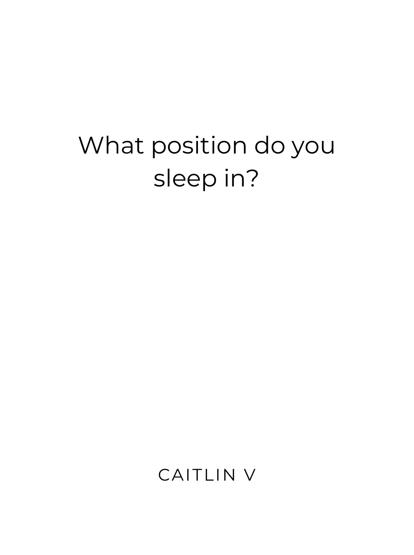## What position do you sleep in?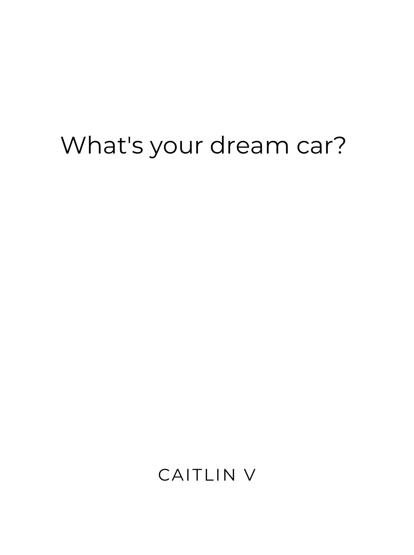#### What's your dream car?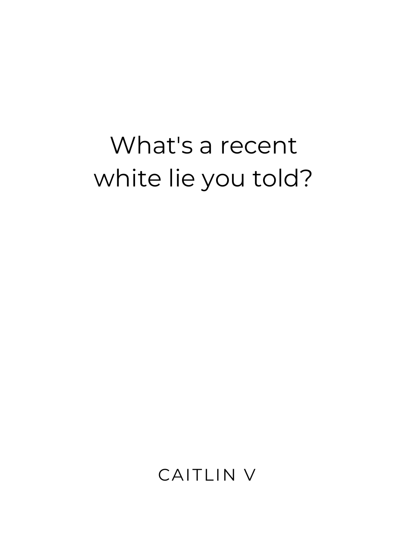## What's a recent white lie you told?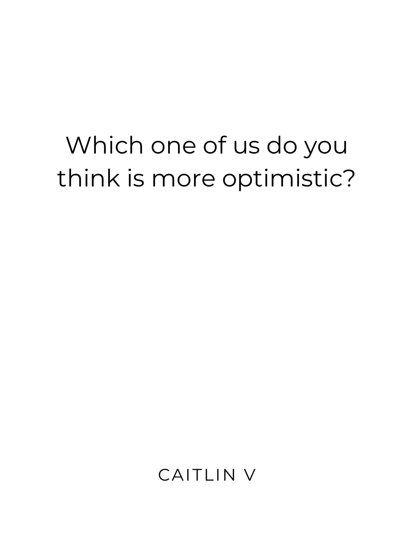## Which one of us do you think is more optimistic?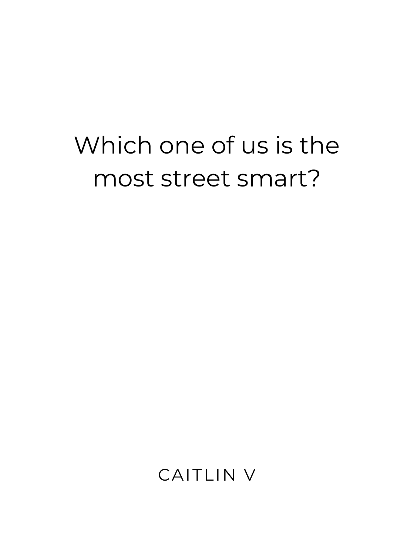## Which one of us is the most street smart?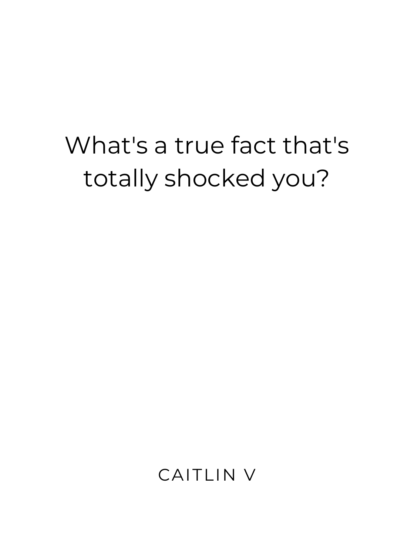## What's a true fact that's totally shocked you?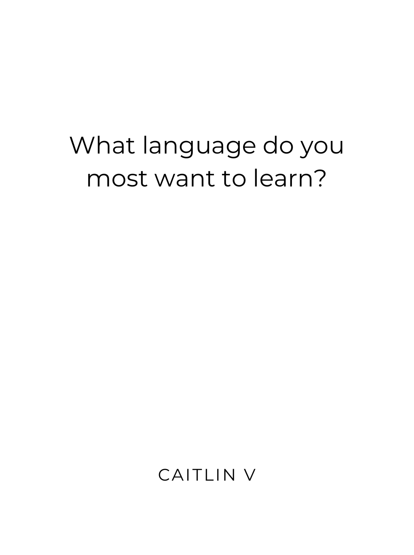## What language do you most want to learn?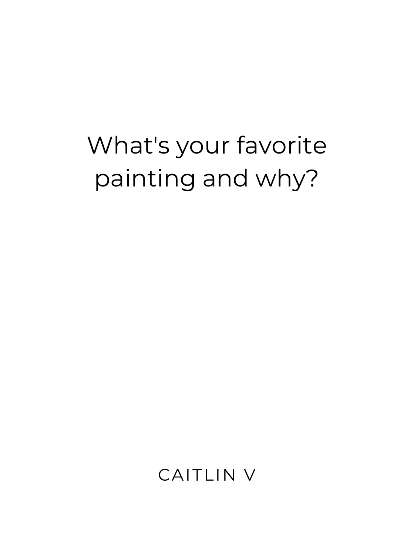## What's your favorite painting and why?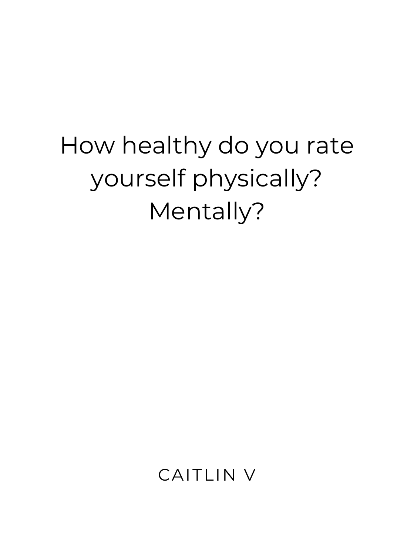## How healthy do you rate yourself physically? Mentally?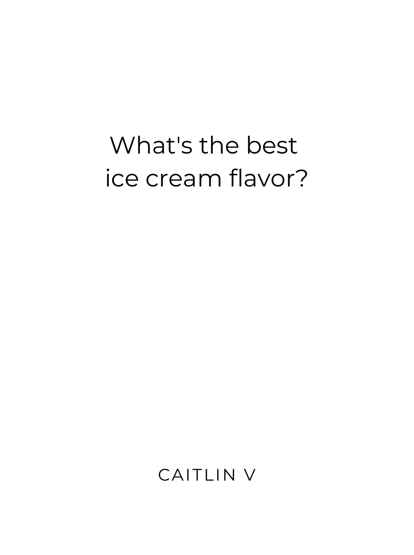#### What's the best ice cream flavor?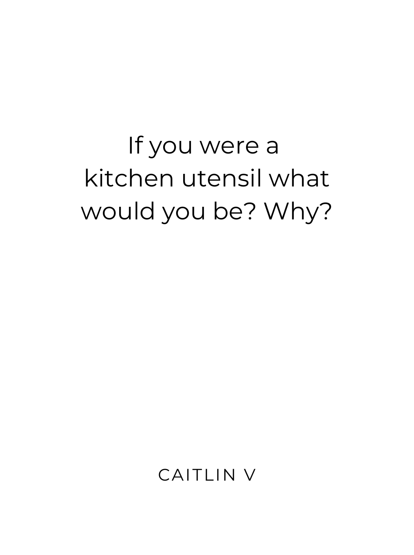## If you were a kitchen utensil what would you be? Why?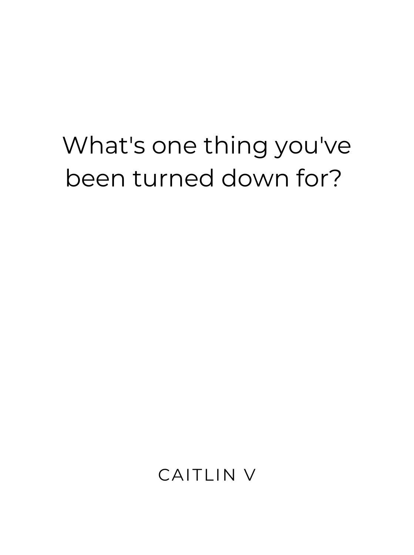#### What's one thing you've been turned down for?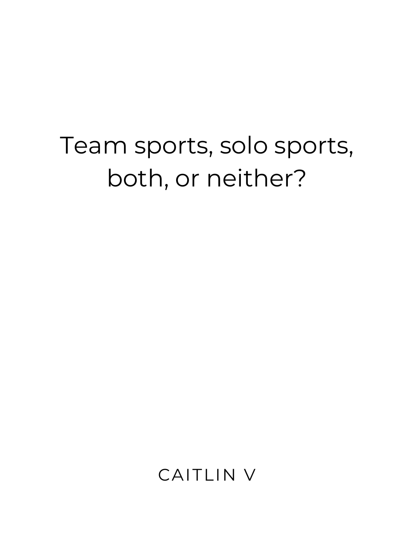## Team sports, solo sports, both, or neither?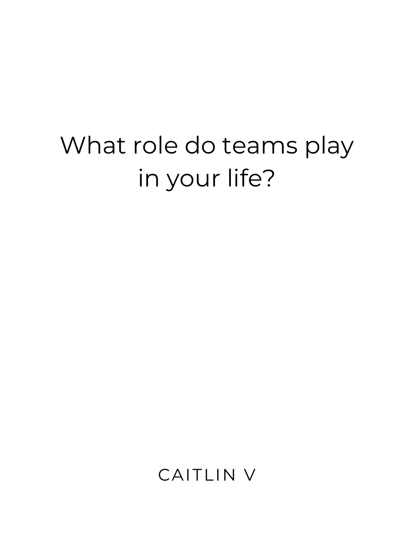## What role do teams play in your life?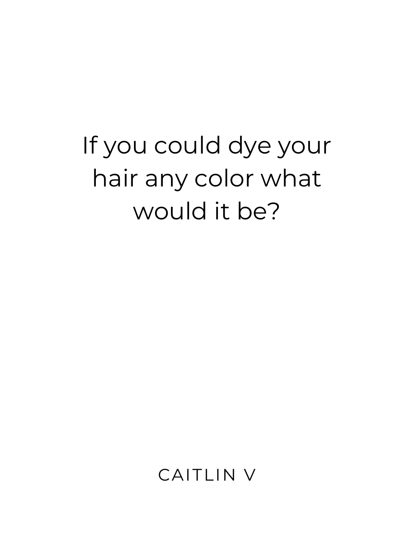## If you could dye your hair any color what would it be?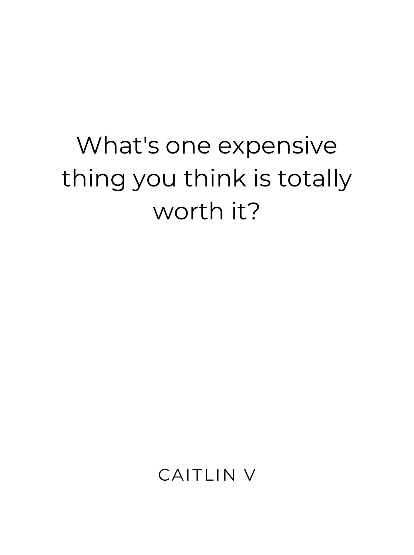## What's one expensive thing you think is totally worth it?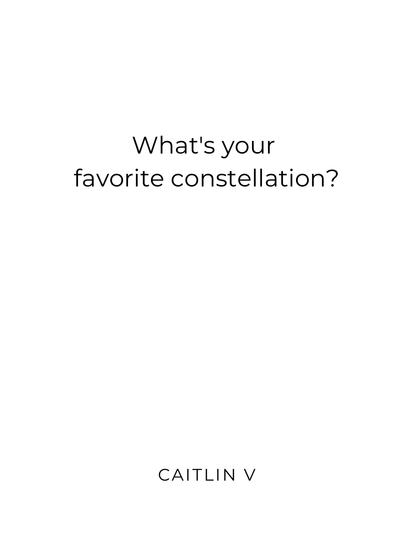## What's your favorite constellation?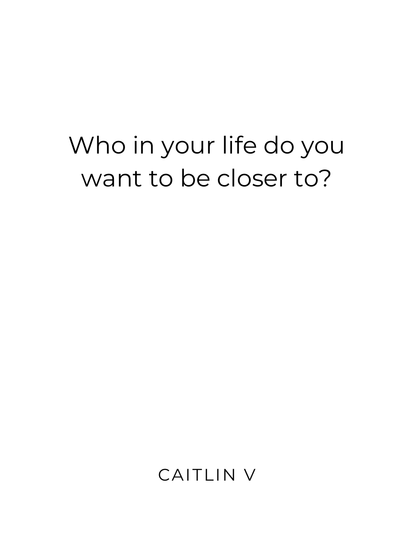## Who in your life do you want to be closer to?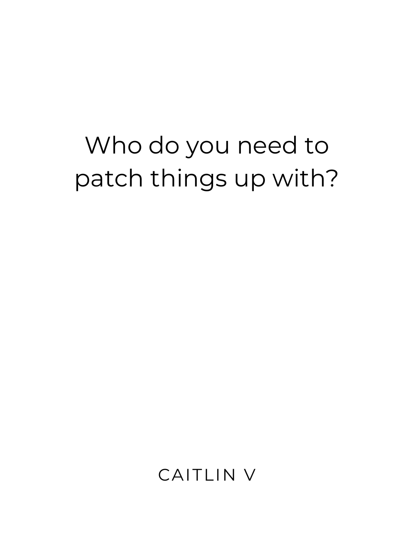## Who do you need to patch things up with?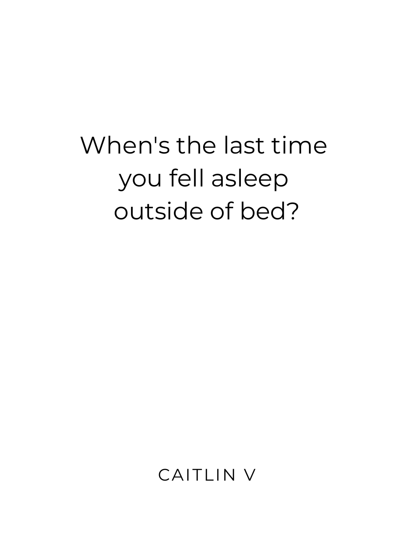## When's the last time you fell asleep outside of bed?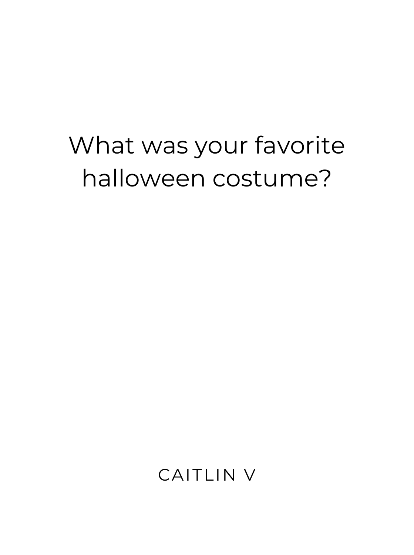## What was your favorite halloween costume?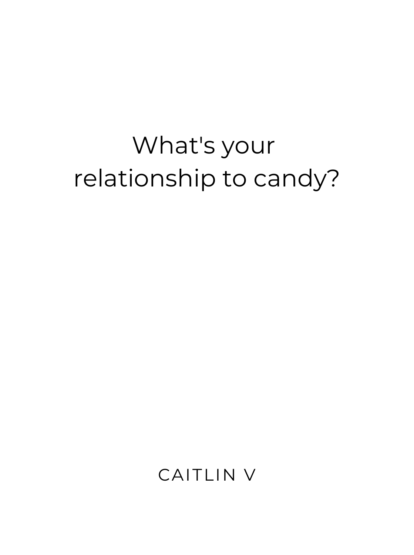## What's your relationship to candy?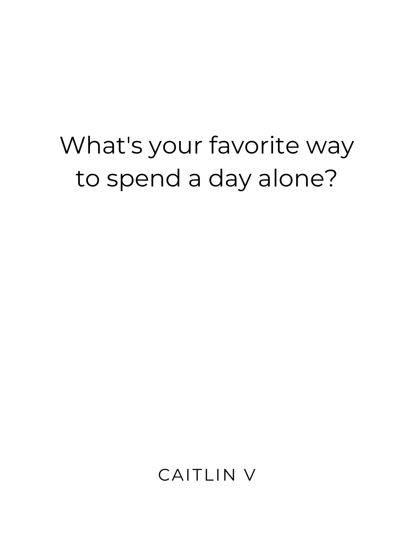## What's your favorite way to spend a day alone?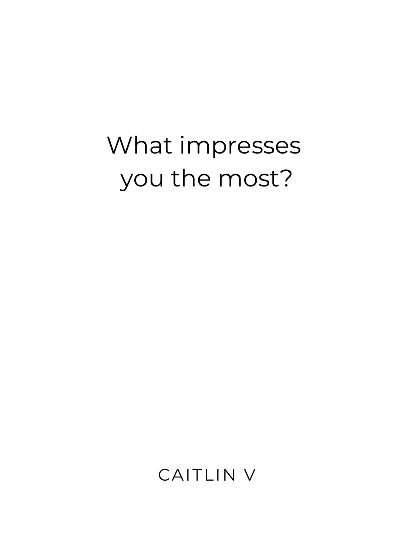## What impresses you the most?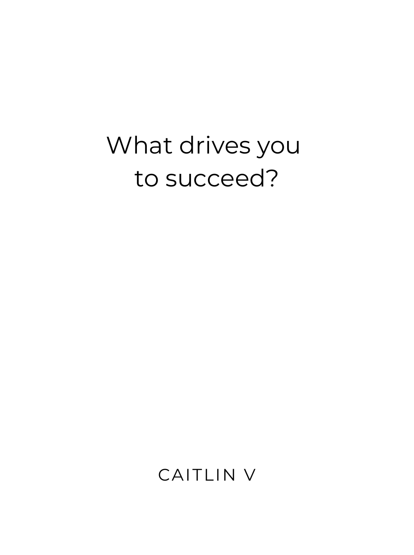#### What drives you to succeed?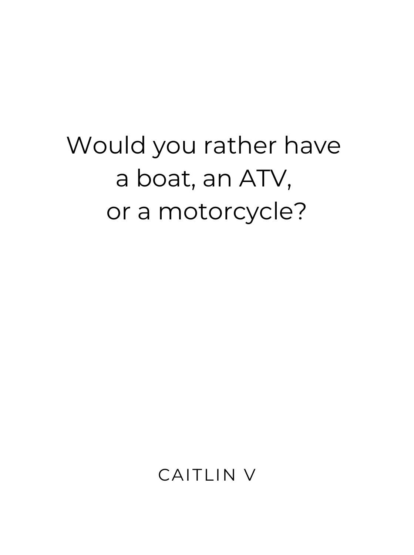## Would you rather have a boat, an ATV, or a motorcycle?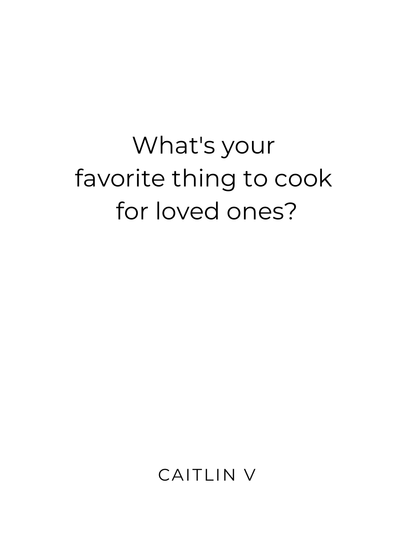# What's your favorite thing to cook for loved ones?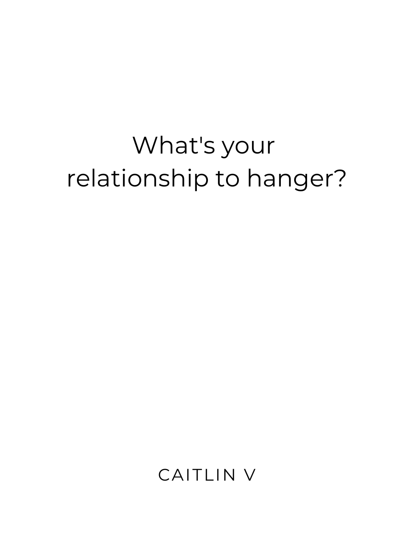## What's your relationship to hanger?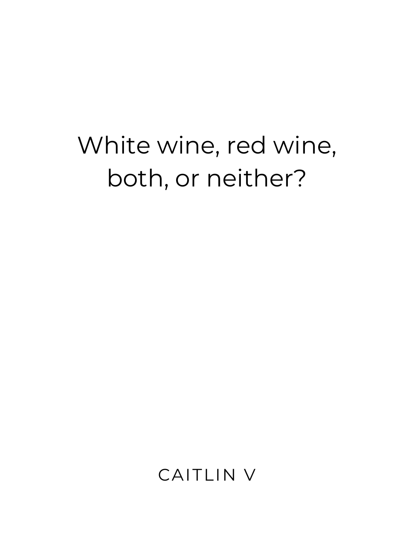## White wine, red wine, both, or neither?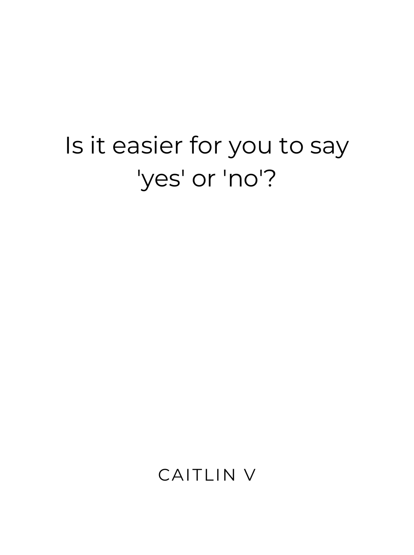## Is it easier for you to say 'yes' or 'no'?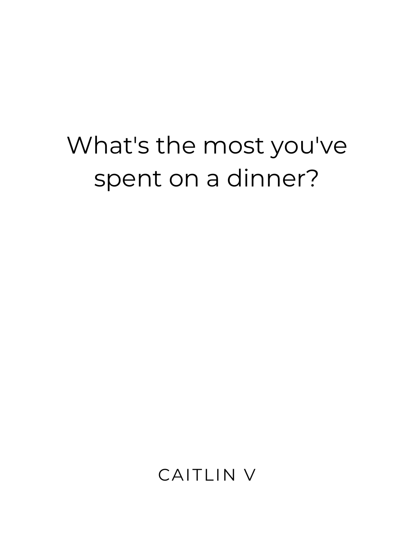#### What's the most you've spent on a dinner?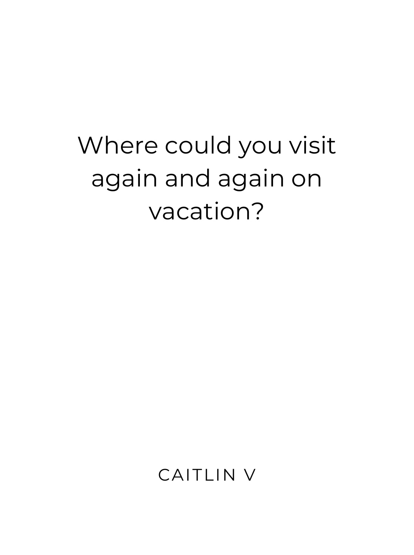## Where could you visit again and again on vacation?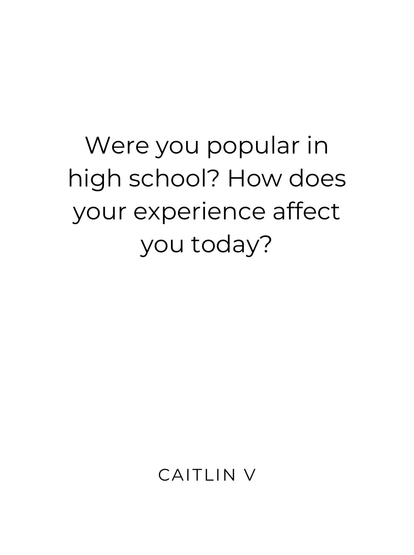# Were you popular in high school? How does your experience affect you today?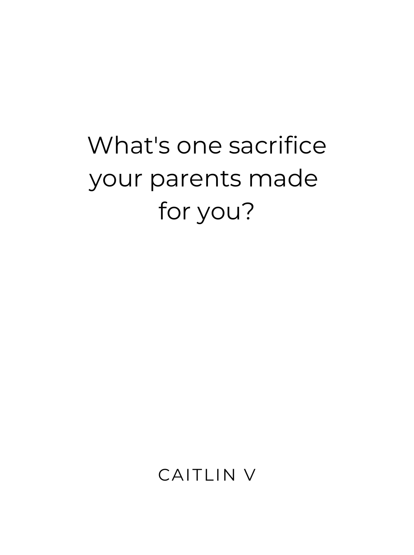# What's one sacrifice your parents made for you?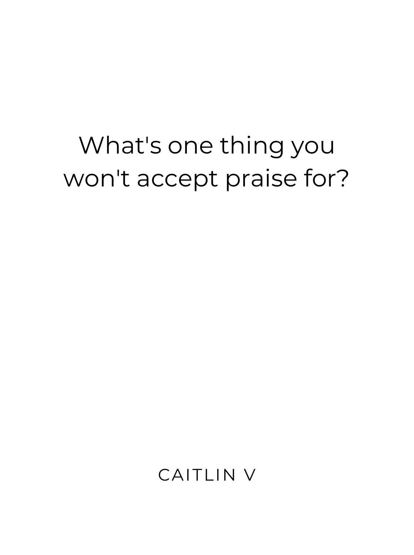#### What's one thing you won't accept praise for?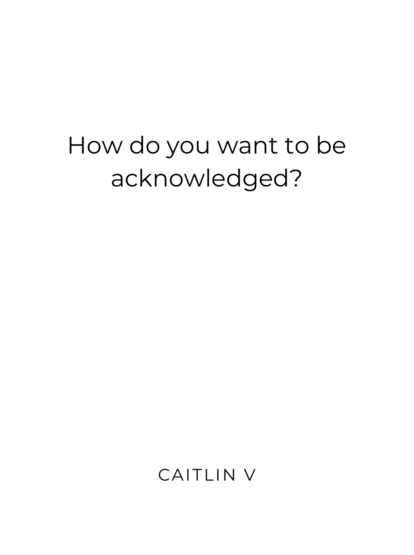#### How do you want to be acknowledged?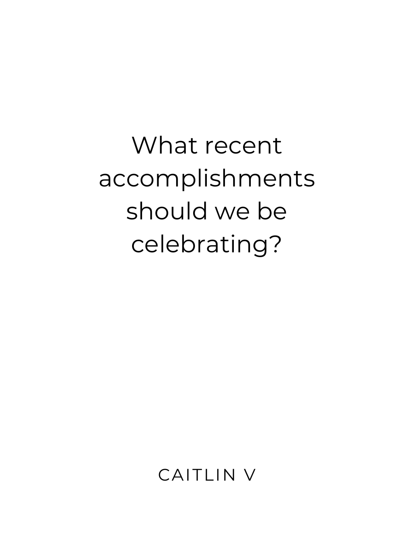What recent accomplishments should we be celebrating?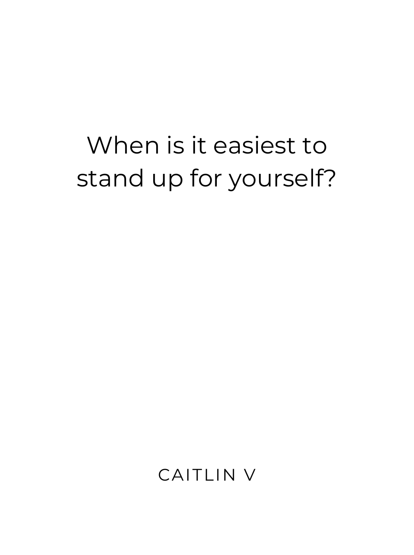## When is it easiest to stand up for yourself?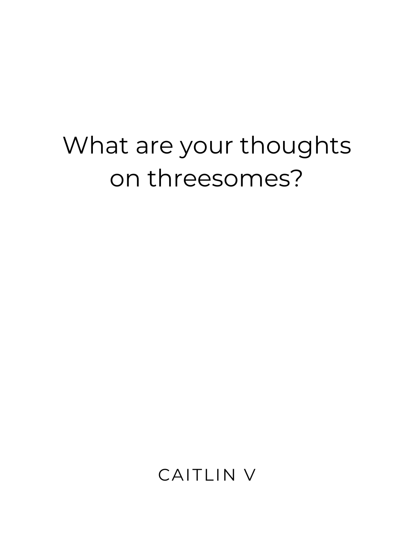### What are your thoughts on threesomes?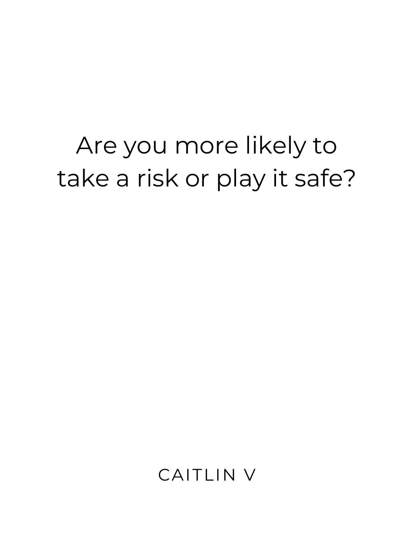### Are you more likely to take a risk or play it safe?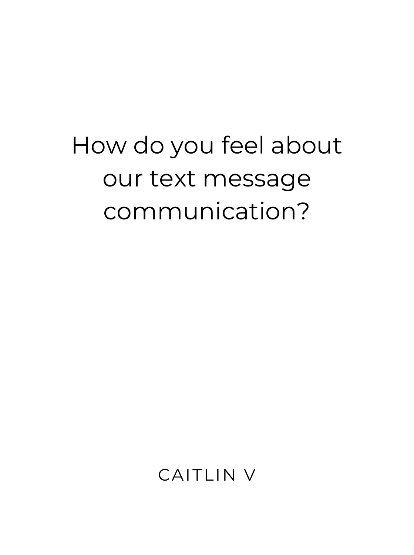# How do you feel about our text message communication?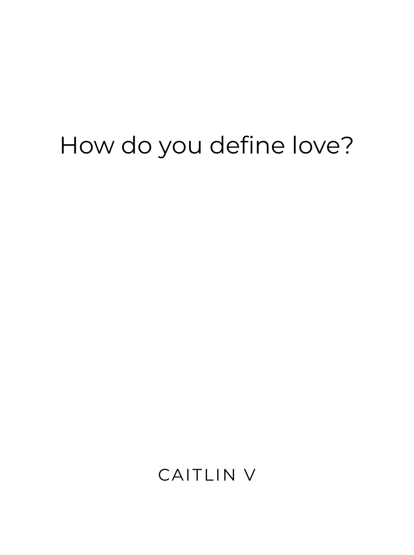#### How do you define love?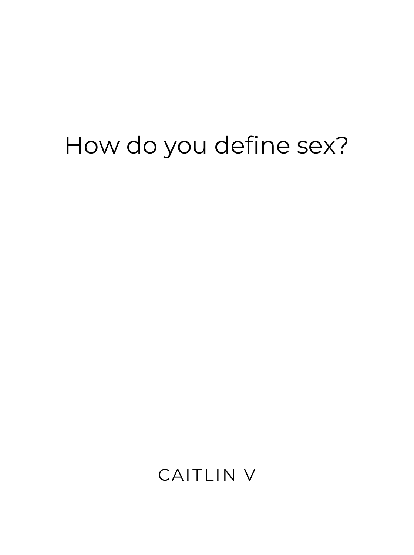#### How do you define sex?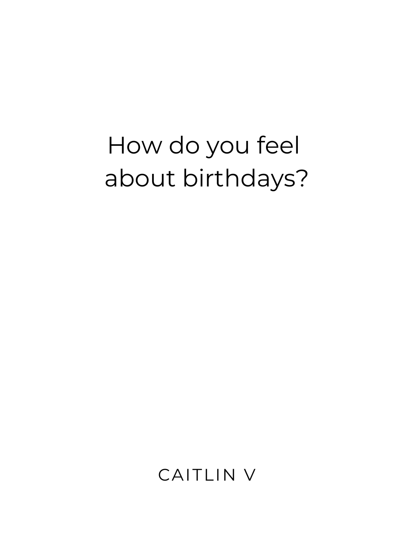## How do you feel about birthdays?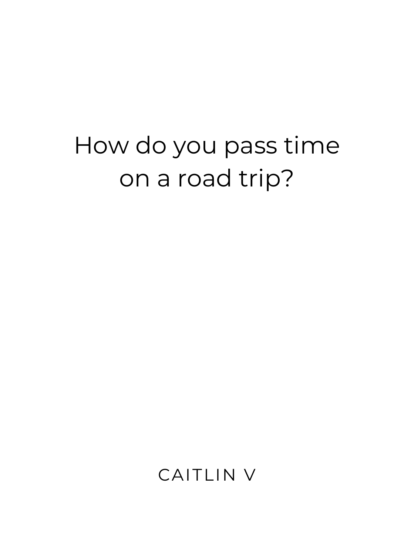### How do you pass time on a road trip?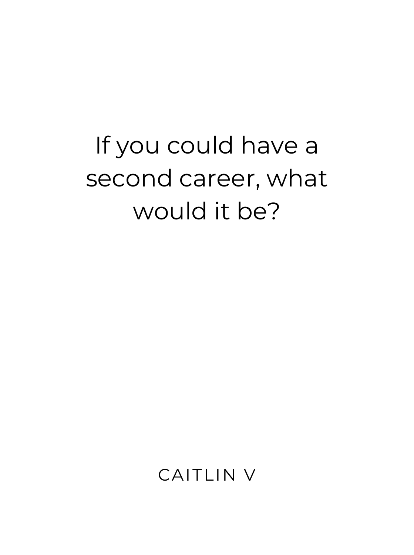# If you could have a second career, what would it be?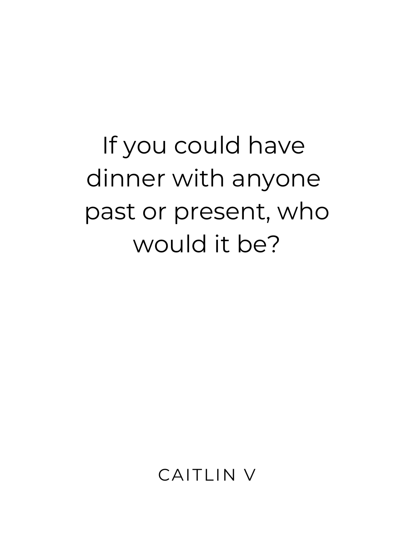If you could have dinner with anyone past or present, who would it be?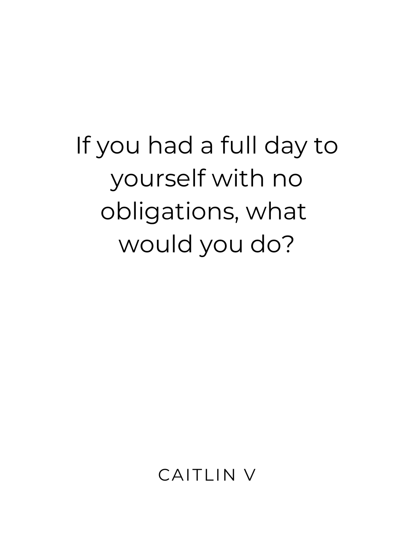# If you had a full day to yourself with no obligations, what would you do?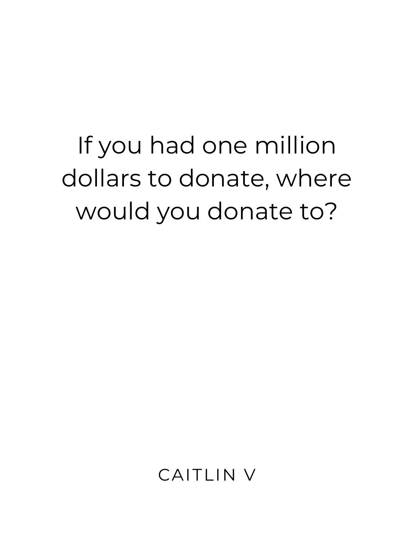If you had one million dollars to donate, where would you donate to?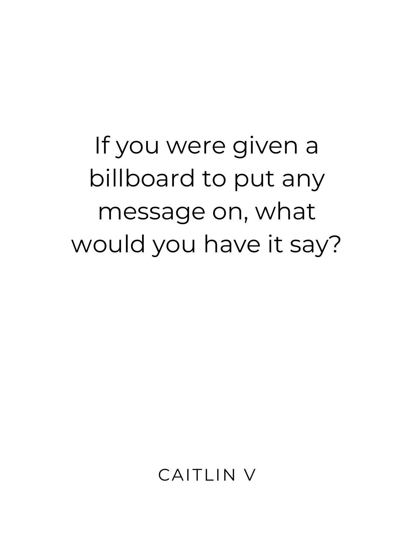If you were given a billboard to put any message on, what would you have it say?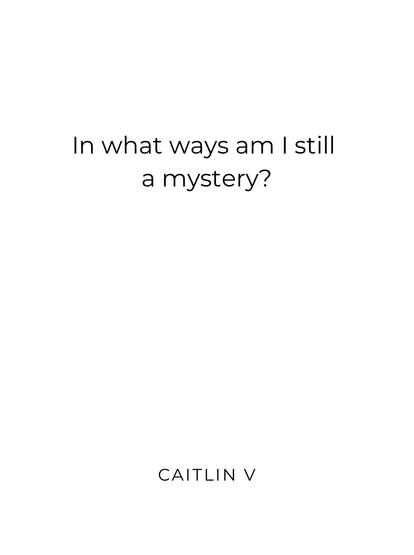#### In what ways am I still a mystery?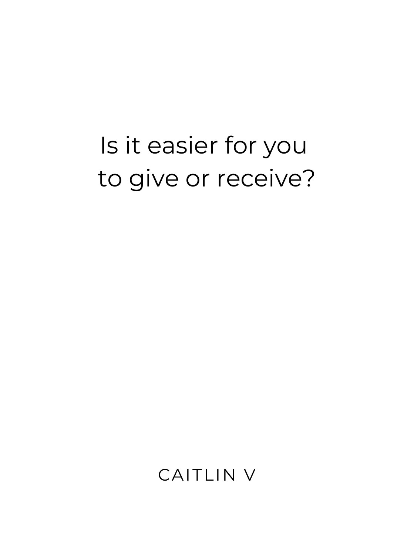## Is it easier for you to give or receive?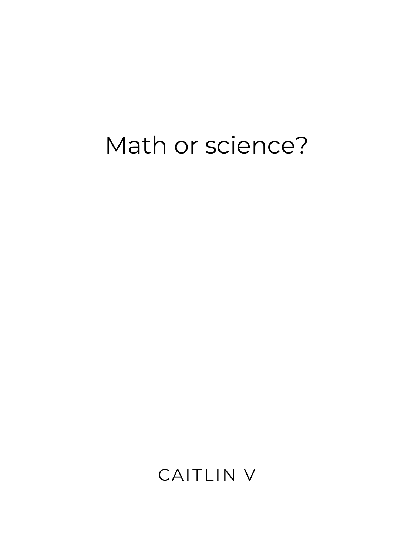#### Math or science?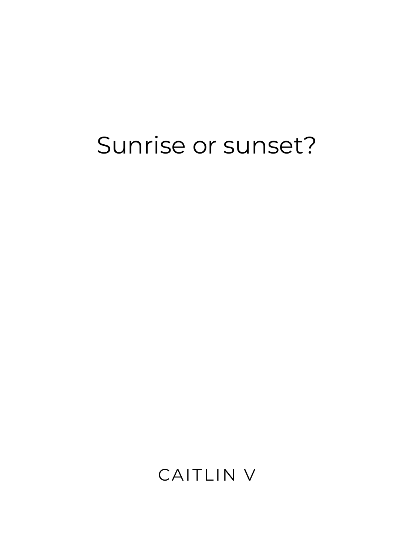#### Sunrise or sunset?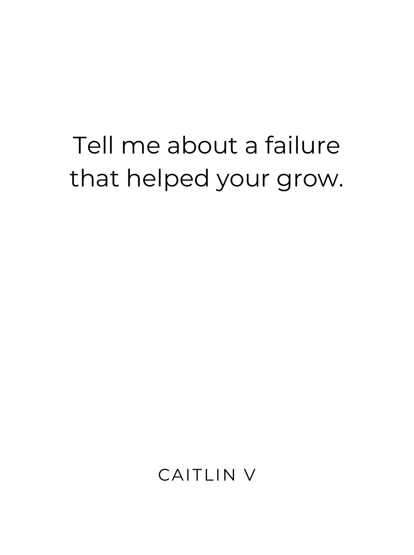# Tell me about a failure that helped your grow.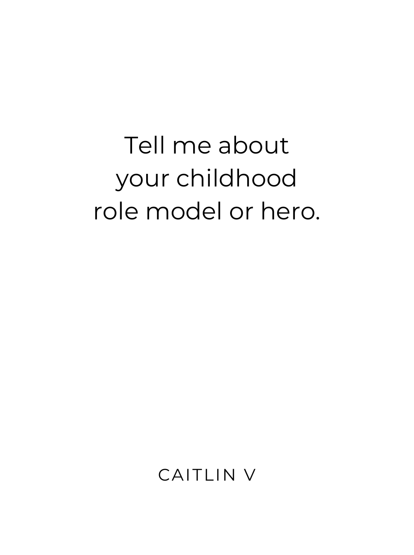# Tell me about your childhood role model or hero.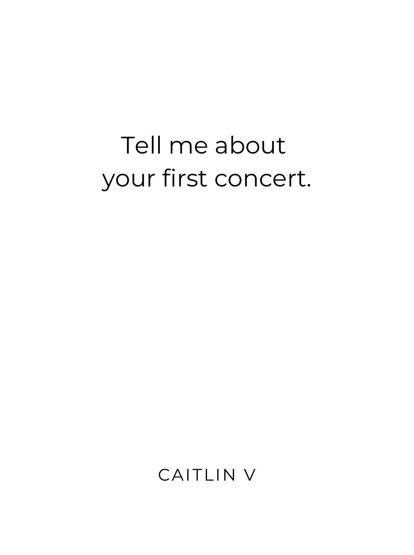## Tell me about your first concert.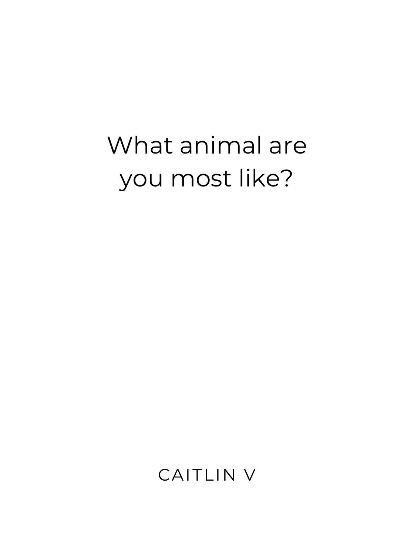# What animal are you most like?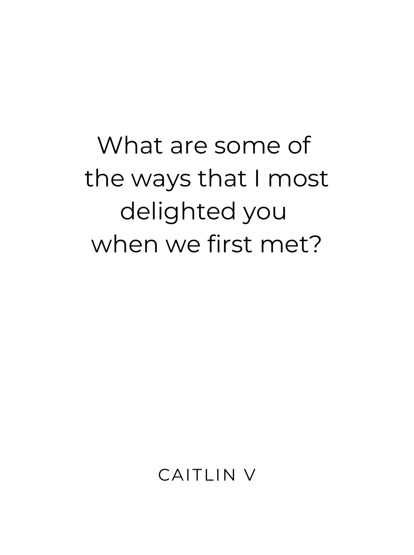What are some of the ways that I most delighted you when we first met?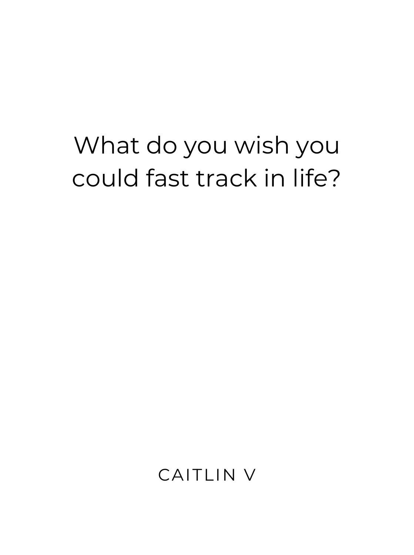#### What do you wish you could fast track in life?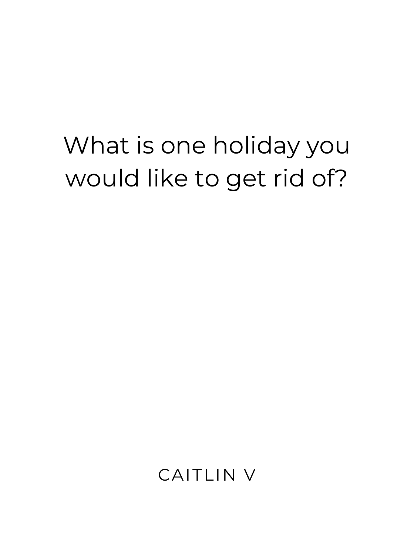### What is one holiday you would like to get rid of?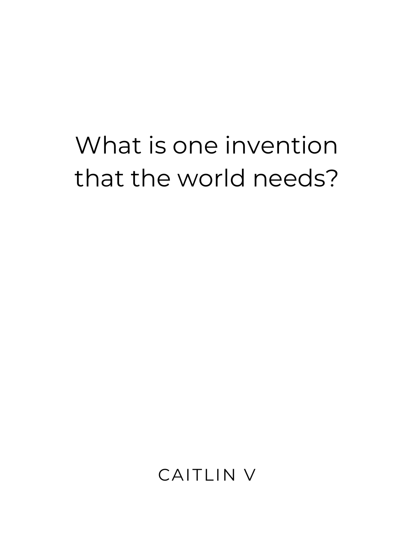## What is one invention that the world needs?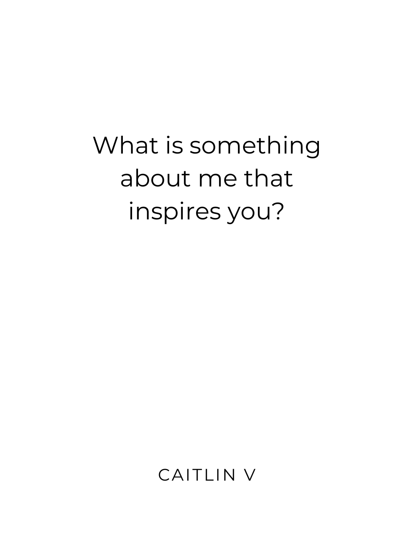# What is something about me that inspires you?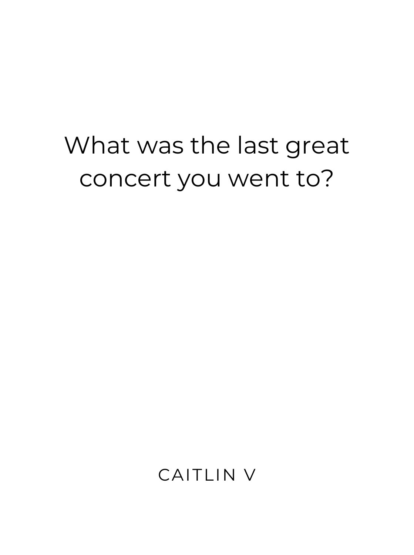#### What was the last great concert you went to?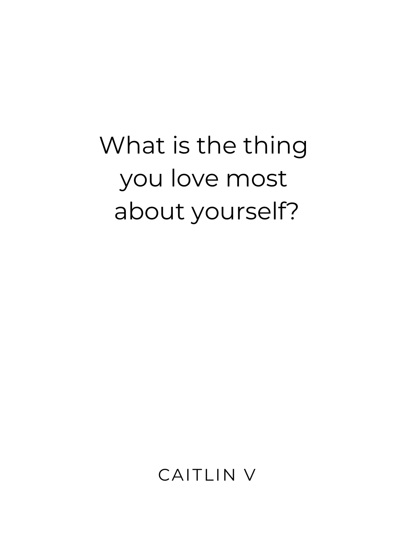# What is the thing you love most about yourself?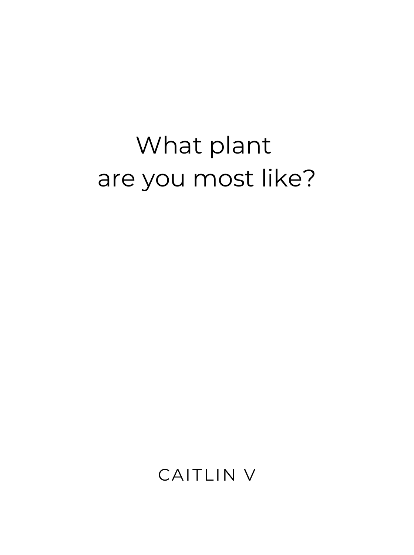# What plant are you most like?